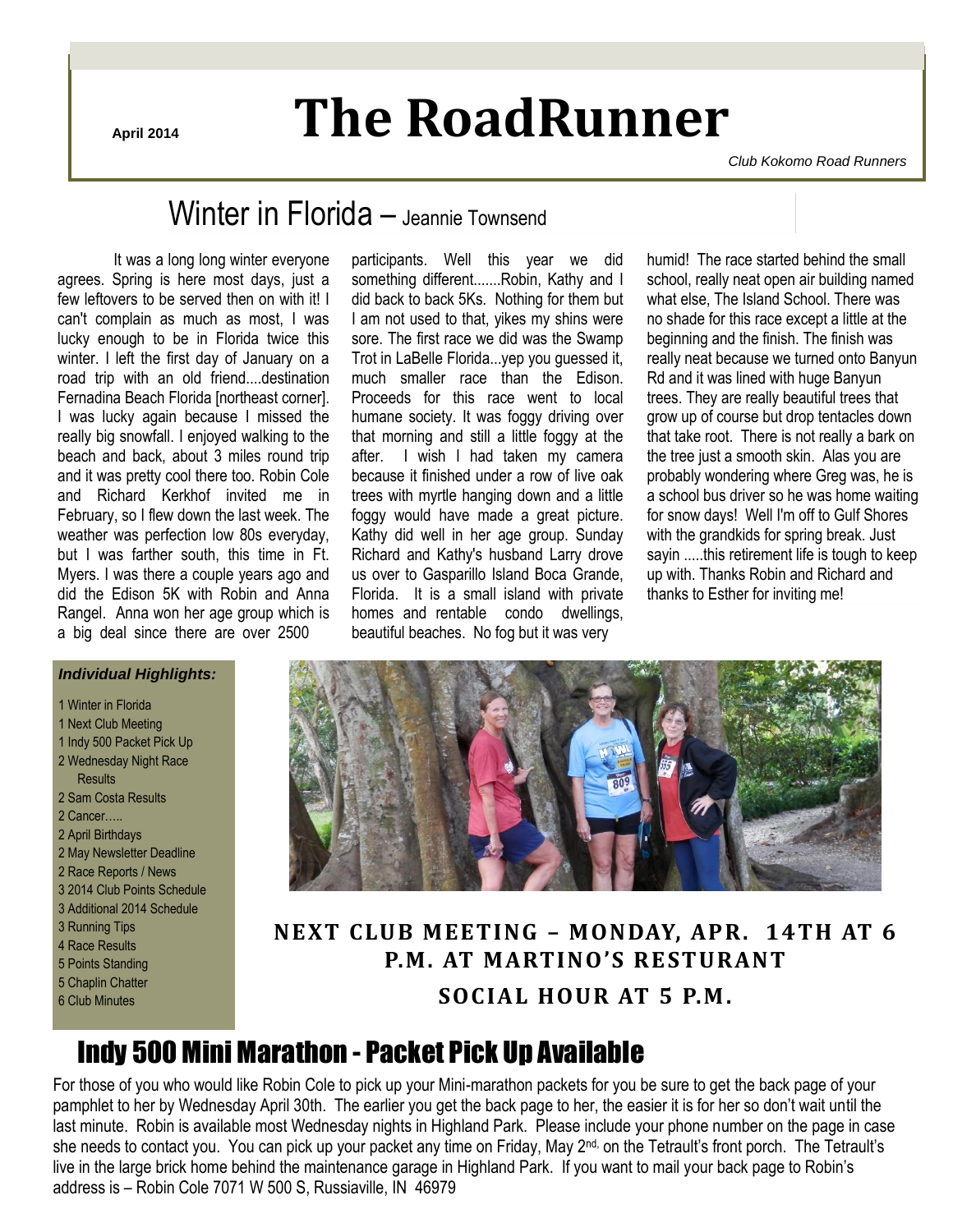# **April 2014 The RoadRunner**

*Club Kokomo Road Runners*

## Winter in Florida – Jeannie Townsend

It was a long long winter everyone agrees. Spring is here most days, just a few leftovers to be served then on with it! I can't complain as much as most, I was lucky enough to be in Florida twice this winter. I left the first day of January on a road trip with an old friend....destination Fernadina Beach Florida [northeast corner]. I was lucky again because I missed the really big snowfall. I enjoyed walking to the beach and back, about 3 miles round trip and it was pretty cool there too. Robin Cole and Richard Kerkhof invited me in February, so I flew down the last week. The weather was perfection low 80s everyday, but I was farther south, this time in Ft. Myers. I was there a couple years ago and did the Edison 5K with Robin and Anna Rangel. Anna won her age group which is a big deal since there are over 2500

#### participants. Well this year we did something different.......Robin, Kathy and I did back to back 5Ks. Nothing for them but I am not used to that, yikes my shins were sore. The first race we did was the Swamp Trot in LaBelle Florida...yep you guessed it, much smaller race than the Edison. Proceeds for this race went to local humane society. It was foggy driving over that morning and still a little foggy at the after. I wish I had taken my camera because it finished under a row of live oak trees with myrtle hanging down and a little foggy would have made a great picture. Kathy did well in her age group. Sunday Richard and Kathy's husband Larry drove us over to Gasparillo Island Boca Grande, Florida. It is a small island with private homes and rentable condo dwellings, beautiful beaches. No fog but it was very

humid! The race started behind the small school, really neat open air building named what else, The Island School. There was no shade for this race except a little at the beginning and the finish. The finish was really neat because we turned onto Banyun Rd and it was lined with huge Banyun trees. They are really beautiful trees that grow up of course but drop tentacles down that take root. There is not really a bark on the tree just a smooth skin. Alas you are probably wondering where Greg was, he is a school bus driver so he was home waiting for snow days! Well I'm off to Gulf Shores with the grandkids for spring break. Just sayin .....this retirement life is tough to keep up with. Thanks Robin and Richard and thanks to Esther for inviting me!

#### *Individual Highlights:*

#### 1 Winter in Florida

- 1 Next Club Meeting
- 1 Indy 500 Packet Pick Up
- 2 Wednesday Night Race
- Results
- 2 Sam Costa Results 2 Cancer…..
- 2 April Birthdays
- 2 May Newsletter Deadline
- 2 Race Reports / News
- 3 2014 Club Points Schedule
- 3 Additional 2014 Schedule
- 3 Running Tips
- 4 Race Results
- 5 Points Standing
- 5 Chaplin Chatter
- 6 Club Minutes



### **NEXT CLUB MEETING – MONDAY, APR. 14TH AT 6 P.M. AT MARTINO'S RESTURANT SOCIAL HOUR AT 5 P.M.**

## Indy 500 Mini Marathon - Packet Pick Up Available

For those of you who would like Robin Cole to pick up your Mini-marathon packets for you be sure to get the back page of your pamphlet to her by Wednesday April 30th. The earlier you get the back page to her, the easier it is for her so don't wait until the last minute. Robin is available most Wednesday nights in Highland Park. Please include your phone number on the page in case she needs to contact you. You can pick up your packet any time on Friday, May 2<sup>nd,</sup> on the Tetrault's front porch. The Tetrault's live in the large brick home behind the maintenance garage in Highland Park. If you want to mail your back page to Robin's address is – Robin Cole 7071 W 500 S, Russiaville, IN 46979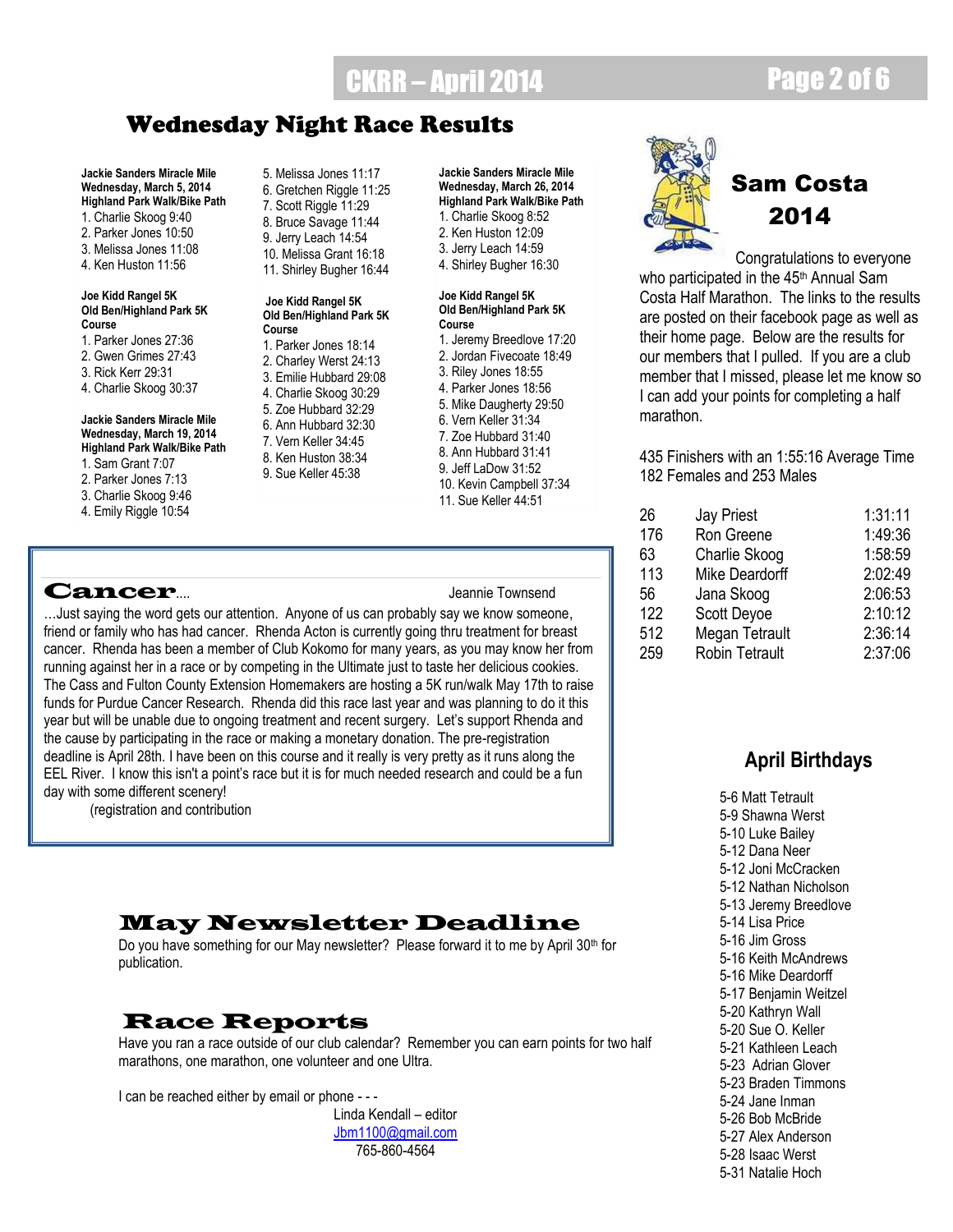# **CKRR – April 2014** Page 2 of 6

### Wednesday Night Race Results

**Jackie Sanders Miracle Mile Wednesday, March 5, 2014 Highland Park Walk/Bike Path** 1. Charlie Skoog 9:40 2. Parker Jones 10:50 3. Melissa Jones 11:08 4. Ken Huston 11:56

#### **Joe Kidd Rangel 5K Old Ben/Highland Park 5K Course**

- 1. Parker Jones 27:36
- 2. Gwen Grimes 27:43
- 3. Rick Kerr 29:31
- 4. Charlie Skoog 30:37

#### **Jackie Sanders Miracle Mile Wednesday, March 19, 2014 Highland Park Walk/Bike Path**

- 1. Sam Grant 7:07
- 2. Parker Jones 7:13
- 3. Charlie Skoog 9:46
- 4. Emily Riggle 10:54

### Cancer.... Jeannie Townsend

5. Melissa Jones 11:17 6. Gretchen Riggle 11:25 7. Scott Riggle 11:29 8. Bruce Savage 11:44 9. Jerry Leach 14:54 10. Melissa Grant 16:18

#### **Joe Kidd Rangel 5K Old Ben/Highland Park 5K Course**

11. Shirley Bugher 16:44

- 1. Parker Jones 18:14 2. Charley Werst 24:13 3. Emilie Hubbard 29:08 4. Charlie Skoog 30:29 5. Zoe Hubbard 32:29 6. Ann Hubbard 32:30 7. Vern Keller 34:45 8. Ken Huston 38:34 9. Sue Keller 45:38
- **Jackie Sanders Miracle Mile Wednesday, March 26, 2014 Highland Park Walk/Bike Path** 1. Charlie Skoog 8:52 2. Ken Huston 12:09 3. Jerry Leach 14:59
- 4. Shirley Bugher 16:30

#### **Joe Kidd Rangel 5K Old Ben/Highland Park 5K Course**

- 1. Jeremy Breedlove 17:20 2. Jordan Fivecoate 18:49 3. Riley Jones 18:55 4. Parker Jones 18:56
- 5. Mike Daugherty 29:50
- 6. Vern Keller 31:34
- 7. Zoe Hubbard 31:40
- 8. Ann Hubbard 31:41 9. Jeff LaDow 31:52
- 10. Kevin Campbell 37:34
- 11. Sue Keller 44:51

…Just saying the word gets our attention. Anyone of us can probably say we know someone, friend or family who has had cancer. Rhenda Acton is currently going thru treatment for breast cancer. Rhenda has been a member of Club Kokomo for many years, as you may know her from running against her in a race or by competing in the Ultimate just to taste her delicious cookies. The Cass and Fulton County Extension Homemakers are hosting a 5K run/walk May 17th to raise funds for Purdue Cancer Research. Rhenda did this race last year and was planning to do it this year but will be unable due to ongoing treatment and recent surgery. Let's support Rhenda and the cause by participating in the race or making a monetary donation. The pre-registration deadline is April 28th. I have been on this course and it really is very pretty as it runs along the EEL River. I know this isn't a point's race but it is for much needed research and could be a fun day with some different scenery!

(registration and contribution

### May Newsletter Deadline

Do you have something for our May newsletter? Please forward it to me by April 30<sup>th</sup> for publication.

### Race Reports

Have you ran a race outside of our club calendar? Remember you can earn points for two half marathons, one marathon, one volunteer and one Ultra.

I can be reached either by email or phone - - -

Linda Kendall – editor [Jbm1100@gmail.com](mailto:Jbm1100@gmail.com) 765-860-4564



## Sam Costa 2014

Congratulations to everyone who participated in the 45<sup>th</sup> Annual Sam Costa Half Marathon. The links to the results are posted on their facebook page as well as their home page. Below are the results for our members that I pulled. If you are a club member that I missed, please let me know so I can add your points for completing a half marathon.

435 Finishers with an 1:55:16 Average Time 182 Females and 253 Males

| 26  | Jay Priest            | 1:31:11 |
|-----|-----------------------|---------|
| 176 | Ron Greene            | 1:49:36 |
| 63  | Charlie Skoog         | 1:58:59 |
| 113 | Mike Deardorff        | 2:02:49 |
| 56  | Jana Skoog            | 2:06:53 |
| 122 | Scott Deyoe           | 2:10:12 |
| 512 | Megan Tetrault        | 2:36:14 |
| 259 | <b>Robin Tetrault</b> | 2:37:06 |
|     |                       |         |

### **April Birthdays**

5-6 Matt Tetrault 5-9 Shawna Werst 5-10 Luke Bailey 5-12 Dana Neer 5-12 Joni McCracken 5-12 Nathan Nicholson 5-13 Jeremy Breedlove 5-14 Lisa Price 5-16 Jim Gross 5-16 Keith McAndrews 5-16 Mike Deardorff 5-17 Benjamin Weitzel 5-20 Kathryn Wall 5-20 Sue O. Keller 5-21 Kathleen Leach 5-23 Adrian Glover 5-23 Braden Timmons 5-24 Jane Inman 5-26 Bob McBride 5-27 Alex Anderson 5-28 Isaac Werst 5-31 Natalie Hoch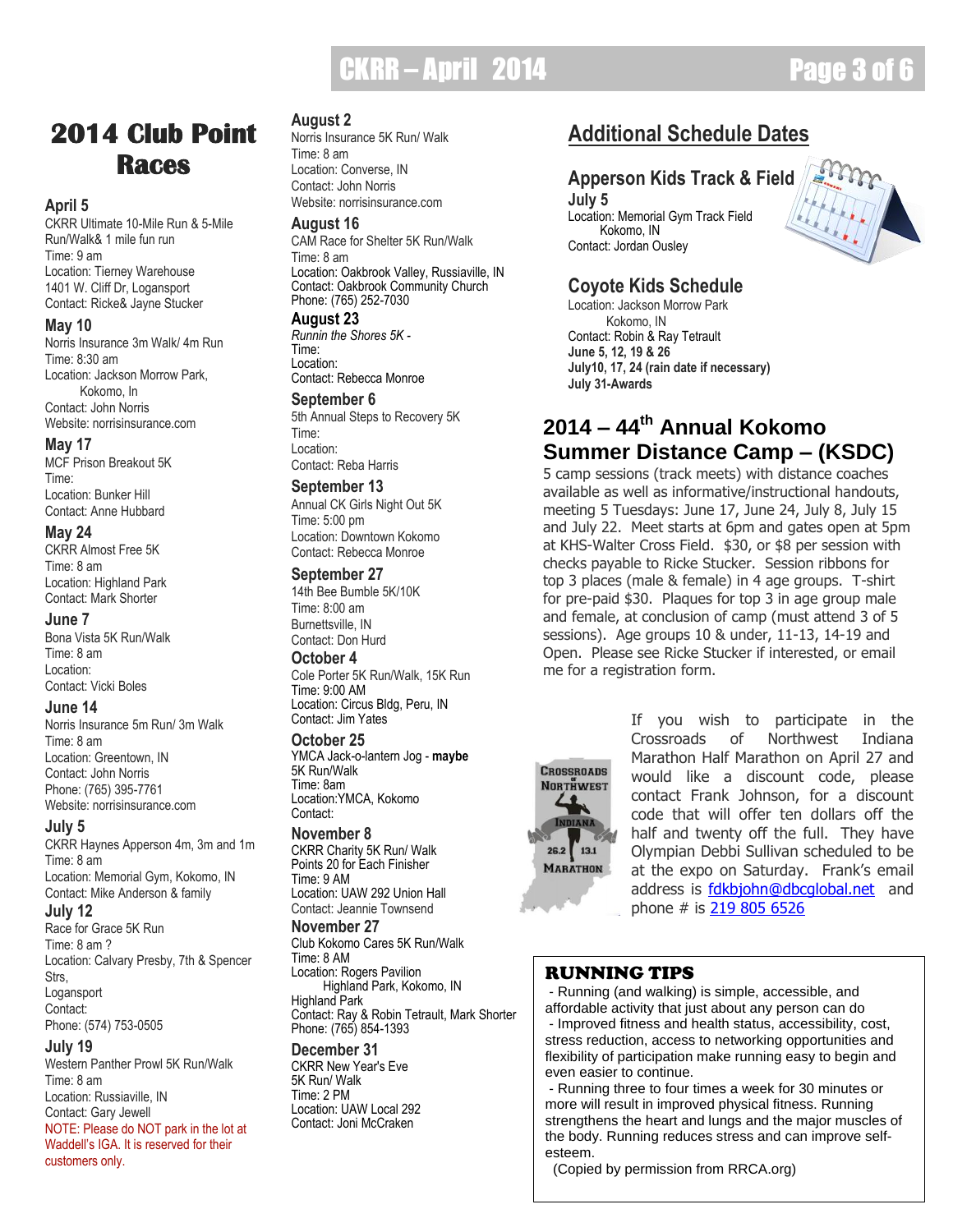## **CKRR – April 2014 Page 3 of 6**

## **2014 Club Point Races**

#### **April 5**

CKRR Ultimate 10-Mile Run & 5-Mile Run/Walk& 1 mile fun run Time: 9 am Location: Tierney Warehouse 1401 W. Cliff Dr, Logansport Contact: Ricke& Jayne Stucker

#### **May 10**

Norris Insurance 3m Walk/ 4m Run Time: 8:30 am Location: Jackson Morrow Park, Kokomo, In Contact: John Norris Website: norrisinsurance.com

#### **May 17**

MCF Prison Breakout 5K Time: Location: Bunker Hill Contact: Anne Hubbard

#### **May 24**

CKRR Almost Free 5K Time: 8 am Location: Highland Park Contact: Mark Shorter

#### **June 7**

Bona Vista 5K Run/Walk Time: 8 am Location: Contact: Vicki Boles

#### **June 14**

Norris Insurance 5m Run/ 3m Walk Time: 8 am Location: Greentown, IN Contact: John Norris Phone: (765) 395-7761 Website: norrisinsurance.com

#### **July 5**

CKRR Haynes Apperson 4m, 3m and 1m Time: 8 am Location: Memorial Gym, Kokomo, IN Contact: Mike Anderson & family

#### **July 12**

Race for Grace 5K Run Time: 8 am ? Location: Calvary Presby, 7th & Spencer Strs, Logansport Contact: Phone: (574) 753-0505

#### **July 19**

Western Panther Prowl 5K Run/Walk Time: 8 am Location: Russiaville, IN Contact: Gary Jewell NOTE: Please do NOT park in the lot at Waddell's IGA. It is reserved for their customers only.

#### **August 2**

Norris Insurance 5K Run/ Walk Time: 8 am Location: Converse, IN Contact: John Norris Website: norrisinsurance.com

#### **August 16**

CAM Race for Shelter 5K Run/Walk Time: 8 am Location: Oakbrook Valley, Russiaville, IN Contact: Oakbrook Community Church Phone: (765) 252-7030

#### **August 23**

*Runnin the Shores 5K -* Time<sup>.</sup> Location: Contact: Rebecca Monroe

#### **September 6**

5th Annual Steps to Recovery 5K Time: Location: Contact: Reba Harris

#### **September 13**

Annual CK Girls Night Out 5K Time: 5:00 pm Location: Downtown Kokomo Contact: Rebecca Monroe

#### **September 27**

14th Bee Bumble 5K/10K Time: 8:00 am Burnettsville, IN Contact: Don Hurd

#### **October 4**

Cole Porter 5K Run/Walk, 15K Run Time: 9:00 AM Location: Circus Bldg, Peru, IN Contact: Jim Yates

#### **October 25**

YMCA Jack-o-lantern Jog - **maybe** 5K Run/Walk Time: 8am Location:YMCA, Kokomo Contact:

#### **November 8**

CKRR Charity 5K Run/ Walk Points 20 for Each Finisher Time: 9 AM Location: UAW 292 Union Hall Contact: Jeannie Townsend

#### **November 27**

Club Kokomo Cares 5K Run/Walk Time: 8 AM Location: Rogers Pavilion Highland Park, Kokomo, IN Highland Park Contact: Ray & Robin Tetrault, Mark Shorter Phone: (765) 854-1393

#### **December 31**

CKRR New Year's Eve 5K Run/ Walk Time: 2 PM Location: UAW Local 292 Contact: Joni McCraken

### **Additional Schedule Dates**

### **Apperson Kids Track & Field**

**July 5** Location: Memorial Gym Track Field Kokomo, IN Contact: Jordan Ousley

### **Coyote Kids Schedule**

Location: Jackson Morrow Park Kokomo, IN Contact: Robin & Ray Tetrault **June 5, 12, 19 & 26 July10, 17, 24 (rain date if necessary) July 31-Awards**

### **2014 – 44th Annual Kokomo Summer Distance Camp – (KSDC)**

5 camp sessions (track meets) with distance coaches available as well as informative/instructional handouts, meeting 5 Tuesdays: June 17, June 24, July 8, July 15 and July 22. Meet starts at 6pm and gates open at 5pm at KHS-Walter Cross Field. \$30, or \$8 per session with checks payable to Ricke Stucker. Session ribbons for top 3 places (male & female) in 4 age groups. T-shirt for pre-paid \$30. Plaques for top 3 in age group male and female, at conclusion of camp (must attend 3 of 5 sessions). Age groups 10 & under, 11-13, 14-19 and Open. Please see Ricke Stucker if interested, or email me for a registration form.



If you wish to participate in the Crossroads of Northwest Indiana Marathon Half Marathon on April 27 and would like a discount code, please contact Frank Johnson, for a discount code that will offer ten dollars off the half and twenty off the full. They have Olympian Debbi Sullivan scheduled to be at the expo on Saturday. Frank's email address is fdkbjohn@dbcqlobal.net and phone # is [219 805 6526](tel:219%20805%206526)

### RUNNING TIPS

- Running (and walking) is simple, accessible, and affordable activity that just about any person can do

- Improved fitness and health status, accessibility, cost, stress reduction, access to networking opportunities and flexibility of participation make running easy to begin and even easier to continue.

- Running three to four times a week for 30 minutes or more will result in improved physical fitness. Running strengthens the heart and lungs and the major muscles of the body. Running reduces stress and can improve selfesteem.

(Copied by permission from RRCA.org)

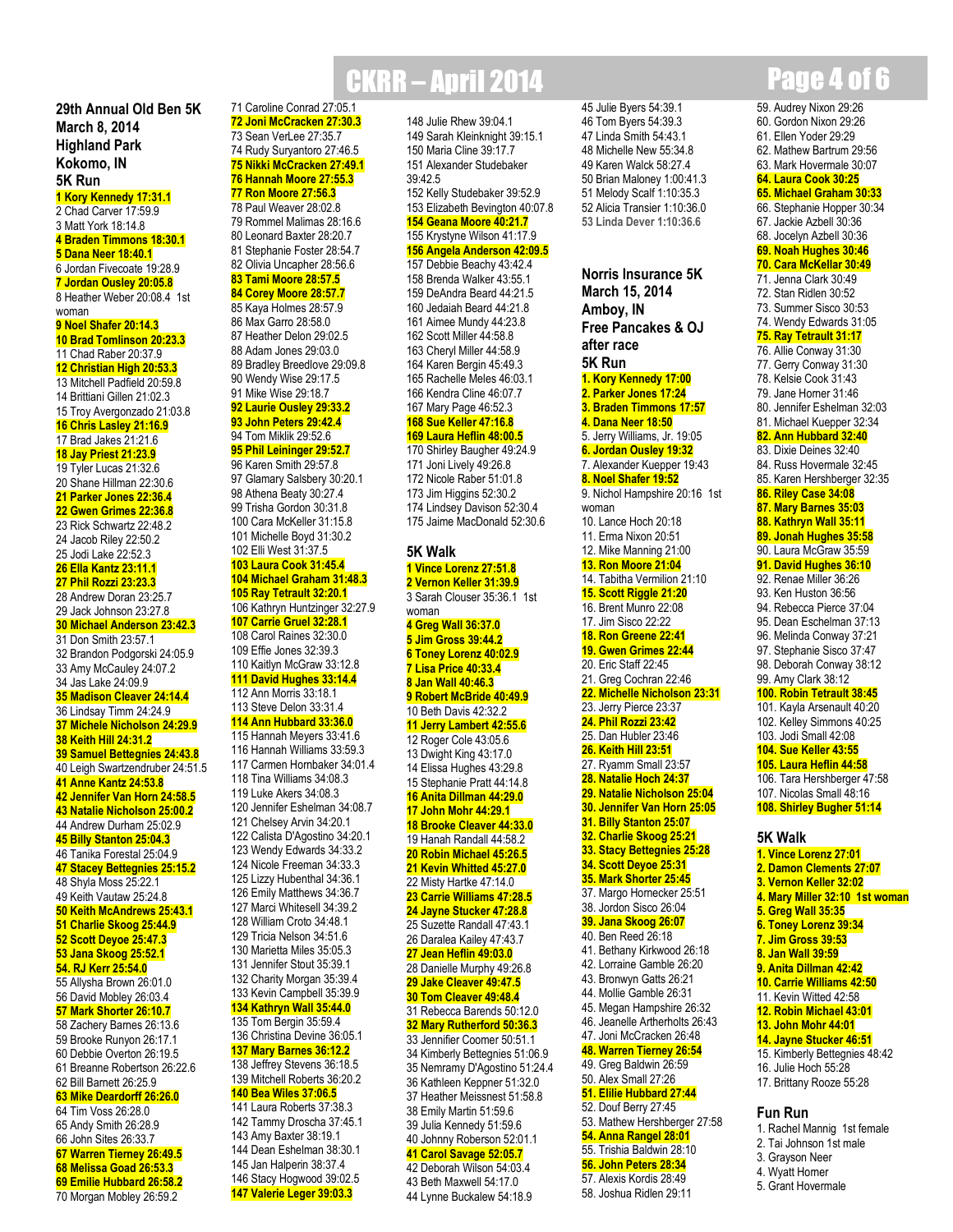**29th Annual Old Ben 5K March 8, 2014 Highland Park Kokomo, IN 5K Run**

**1 Kory Kennedy 17:31.1** 2 Chad Carver 17:59.9 3 Matt York 18:14.8 **4 Braden Timmons 18:30.1 5 Dana Neer 18:40.1** 6 Jordan Fivecoate 19:28.9 **7 Jordan Ousley 20:05.8** 8 Heather Weber 20:08.4 1st woman **9 Noel Shafer 20:14.3 10 Brad Tomlinson 20:23.3** 11 Chad Raber 20:37.9 **12 Christian High 20:53.3** 13 Mitchell Padfield 20:59.8 14 Brittiani Gillen 21:02.3 15 Troy Avergonzado 21:03.8 **16 Chris Lasley 21:16.9** 17 Brad Jakes 21:21.6 **18 Jay Priest 21:23.9** 19 Tyler Lucas 21:32.6 20 Shane Hillman 22:30.6 **21 Parker Jones 22:36.4 22 Gwen Grimes 22:36.8** 23 Rick Schwartz 22:48.2 24 Jacob Riley 22:50.2 25 Jodi Lake 22:52.3 **26 Ella Kantz 23:11.1 27 Phil Rozzi 23:23.3** 28 Andrew Doran 23:25.7 29 Jack Johnson 23:27.8 **30 Michael Anderson 23:42.3** 31 Don Smith 23:57.1 32 Brandon Podgorski 24:05.9 33 Amy McCauley 24:07.2 34 Jas Lake 24:09.9 **35 Madison Cleaver 24:14.4** 36 Lindsay Timm 24:24.9 **37 Michele Nicholson 24:29.9 38 Keith Hill 24:31.2 39 Samuel Bettegnies 24:43.8** 40 Leigh Swartzendruber 24:51.5 **41 Anne Kantz 24:53.8 42 Jennifer Van Horn 24:58.5 43 Natalie Nicholson 25:00.2** 44 Andrew Durham 25:02.9 **45 Billy Stanton 25:04.3** 46 Tanika Forestal 25:04.9 **47 Stacey Bettegnies 25:15.2** 48 Shyla Moss 25:22.1 49 Keith Vautaw 25:24.8 **50 Keith McAndrews 25:43.1 51 Charlie Skoog 25:44.9 52 Scott Deyoe 25:47.3 53 Jana Skoog 25:52.1 54. RJ Kerr 25:54.0** 55 Allysha Brown 26:01.0 56 David Mobley 26:03.4 **57 Mark Shorter 26:10.7**

 Zachery Barnes 26:13.6 Brooke Runyon 26:17.1 Debbie Overton 26:19.5 Breanne Robertson 26:22.6

#### 62 Bill Barnett 26:25.9 **63 Mike Deardorff 26:26.0**

 Tim Voss 26:28.0 Andy Smith 26:28.9 John Sites 26:33.7 **Warren Tierney 26:49.5 Melissa Goad 26:53.3 Emilie Hubbard 26:58.2** Morgan Mobley 26:59.2

### **CKRR – April 2014 Page 4 of 6** 71 Caroline Conrad 27:05.1

#### **72 Joni McCracken 27:30.3** 73 Sean VerLee 27:35.7 74 Rudy Suryantoro 27:46.5 **75 Nikki McCracken 27:49.1**

 **Hannah Moore 27:55.3 Ron Moore 27:56.3** Paul Weaver 28:02.8 Rommel Malimas 28:16.6 Leonard Baxter 28:20.7 Stephanie Foster 28:54.7 Olivia Uncapher 28:56.6 **Tami Moore 28:57.5 Corey Moore 28:57.7** Kaya Holmes 28:57.9 Max Garro 28:58.0 Heather Delon 29:02.5 Adam Jones 29:03.0 Bradley Breedlove 29:09.8 Wendy Wise 29:17.5 Mike Wise 29:18.7 **Laurie Ousley 29:33.2 John Peters 29:42.4** Tom Miklik 29:52.6 **Phil Leininger 29:52.7** Karen Smith 29:57.8 Glamary Salsbery 30:20.1

 Athena Beaty 30:27.4 Trisha Gordon 30:31.8 Cara McKeller 31:15.8 Michelle Boyd 31:30.2 Elli West 31:37.5 **Laura Cook 31:45.4 Michael Graham 31:48.3 Ray Tetrault 32:20.1** Kathryn Huntzinger 32:27.9 **Carrie Gruel 32:28.1** Carol Raines 32:30.0 Effie Jones 32:39.3 Kaitlyn McGraw 33:12.8 **David Hughes 33:14.4** Ann Morris 33:18.1 Steve Delon 33:31.4 **Ann Hubbard 33:36.0** Hannah Meyers 33:41.6

 Hannah Williams 33:59.3 Carmen Hornbaker 34:01.4 Tina Williams 34:08.3 Luke Akers 34:08.3 Jennifer Eshelman 34:08.7 Chelsey Arvin 34:20.1 Calista D'Agostino 34:20.1 Wendy Edwards 34:33.2 Nicole Freeman 34:33.3 Lizzy Hubenthal 34:36.1 Emily Matthews 34:36.7 Marci Whitesell 34:39.2 William Croto 34:48.1 Tricia Nelson 34:51.6 Marietta Miles 35:05.3 Jennifer Stout 35:39.1 Charity Morgan 35:39.4 Kevin Campbell 35:39.9 **Kathryn Wall 35:44.0** Tom Bergin 35:59.4

 Christina Devine 36:05.1 **Mary Barnes 36:12.2** Jeffrey Stevens 36:18.5 Mitchell Roberts 36:20.2 **Bea Wiles 37:06.5** Laura Roberts 37:38.3

 Tammy Droscha 37:45.1 Amy Baxter 38:19.1 Dean Eshelman 38:30.1 Jan Halperin 38:37.4 Stacy Hogwood 39:02.5 **Valerie Leger 39:03.3**

148 Julie Rhew 39:04.1 149 Sarah Kleinknight 39:15.1 150 Maria Cline 39:17.7 151 Alexander Studebaker 39:42.5 152 Kelly Studebaker 39:52.9 153 Elizabeth Bevington 40:07.8 **154 Geana Moore 40:21.7** 155 Krystyne Wilson 41:17.9 **156 Angela Anderson 42:09.5** 157 Debbie Beachy 43:42.4 158 Brenda Walker 43:55.1 159 DeAndra Beard 44:21.5 160 Jedaiah Beard 44:21.8 161 Aimee Mundy 44:23.8 162 Scott Miller 44:58.8 163 Cheryl Miller 44:58.9 164 Karen Bergin 45:49.3 165 Rachelle Meles 46:03.1 166 Kendra Cline 46:07.7 167 Mary Page 46:52.3 **168 Sue Keller 47:16.8 169 Laura Heflin 48:00.5** 170 Shirley Baugher 49:24.9 171 Joni Lively 49:26.8 172 Nicole Raber 51:01.8 173 Jim Higgins 52:30.2 174 Lindsey Davison 52:30.4 175 Jaime MacDonald 52:30.6 **5K Walk 1 Vince Lorenz 27:51.8 2 Vernon Keller 31:39.9** 3 Sarah Clouser 35:36.1 1st woman **4 Greg Wall 36:37.0 5 Jim Gross 39:44.2 6 Toney Lorenz 40:02.9 7 Lisa Price 40:33.4 8 Jan Wall 40:46.3 9 Robert McBride 40:49.9** 10 Beth Davis 42:32.2 **11 Jerry Lambert 42:55.6** 12 Roger Cole 43:05.6 13 Dwight King 43:17.0 14 Elissa Hughes 43:29.8 15 Stephanie Pratt 44:14.8 **16 Anita Dillman 44:29.0**

**17 John Mohr 44:29.1 18 Brooke Cleaver 44:33.0** 19 Hanah Randall 44:58.2 **20 Robin Michael 45:26.5 21 Kevin Whitted 45:27.0** 22 Misty Hartke 47:14.0 **23 Carrie Williams 47:28.5 24 Jayne Stucker 47:28.8** 25 Suzette Randall 47:43.1 26 Daralea Kailey 47:43.7 **27 Jean Heflin 49:03.0** 28 Danielle Murphy 49:26.8 **29 Jake Cleaver 49:47.5 30 Tom Cleaver 49:48.4** 31 Rebecca Barends 50:12.0 **32 Mary Rutherford 50:36.3** 33 Jennifier Coomer 50:51.1 34 Kimberly Bettegnies 51:06.9 35 Nemramy D'Agostino 51:24.4 36 Kathleen Keppner 51:32.0 37 Heather Meissnest 51:58.8 38 Emily Martin 51:59.6 39 Julia Kennedy 51:59.6 40 Johnny Roberson 52:01.1 **41 Carol Savage 52:05.7** 42 Deborah Wilson 54:03.4 43 Beth Maxwell 54:17.0

44 Lynne Buckalew 54:18.9

45 Julie Byers 54:39.1 46 Tom Byers 54:39.3 47 Linda Smith 54:43.1 48 Michelle New 55:34.8 49 Karen Walck 58:27.4 50 Brian Maloney 1:00:41.3 51 Melody Scalf 1:10:35.3 52 Alicia Transier 1:10:36.0 **53 Linda Dever 1:10:36.6**

**Norris Insurance 5K March 15, 2014 Amboy, IN Free Pancakes & OJ after race 5K Run 1. Kory Kennedy 17:00 2. Parker Jones 17:24 3. Braden Timmons 17:57 4. Dana Neer 18:50** 5. Jerry Williams, Jr. 19:05 **6. Jordan Ousley 19:32** 7. Alexander Kuepper 19:43 **8. Noel Shafer 19:52** 9. Nichol Hampshire 20:16 1st woman 10. Lance Hoch 20:18 11. Erma Nixon 20:51 12. Mike Manning 21:00 **13. Ron Moore 21:04** 14. Tabitha Vermilion 21:10 **15. Scott Riggle 21:20** 16. Brent Munro 22:08 17. Jim Sisco 22:22 **18. Ron Greene 22:41 19. Gwen Grimes 22:44** 20. Eric Staff 22:45 21. Greg Cochran 22:46 **22. Michelle Nicholson 23:31** 23. Jerry Pierce 23:37 **24. Phil Rozzi 23:42** 25. Dan Hubler 23:46 **26. Keith Hill 23:51** 27. Ryamm Small 23:57 **28. Natalie Hoch 24:37 29. Natalie Nicholson 25:04 30. Jennifer Van Horn 25:05 31. Billy Stanton 25:07 32. Charlie Skoog 25:21 33. Stacy Bettegnies 25:28 34. Scott Deyoe 25:31 35. Mark Shorter 25:45** 37. Margo Hornecker 25:51 38. Jordon Sisco 26:04 **39. Jana Skoog 26:07** 40. Ben Reed 26:18 41. Bethany Kirkwood 26:18 42. Lorraine Gamble 26:20 43. Bronwyn Gatts 26:21 44. Mollie Gamble 26:31 45. Megan Hampshire 26:32 46. Jeanelle Artherholts 26:43 47. Joni McCracken 26:48 **48. Warren Tierney 26:54** 49. Greg Baldwin 26:59 50. Alex Small 27:26 **51. Elilie Hubbard 27:44** 52. Douf Berry 27:45 53. Mathew Hershberger 27:58 **54. Anna Rangel 28:01** 55. Trishia Baldwin 28:10 **56. John Peters 28:34** 57. Alexis Kordis 28:49

58. Joshua Ridlen 29:11

#### 61. Ellen Yoder 29:29 62. Mathew Bartrum 29:56 63. Mark Hovermale 30:07 **64. Laura Cook 30:25 65. Michael Graham 30:33** 66. Stephanie Hopper 30:34 67. Jackie Azbell 30:36 68. Jocelyn Azbell 30:36 **69. Noah Hughes 30:46 70. Cara McKellar 30:49** 71. Jenna Clark 30:49 72. Stan Ridlen 30:52 73. Summer Sisco 30:53 74. Wendy Edwards 31:05 **75. Ray Tetrault 31:17** 76. Allie Conway 31:30 77. Gerry Conway 31:30 78. Kelsie Cook 31:43 79. Jane Horner 31:46 80. Jennifer Eshelman 32:03 81. Michael Kuepper 32:34 **82. Ann Hubbard 32:40** 83. Dixie Deines 32:40 84. Russ Hovermale 32:45 85. Karen Hershberger 32:35 **86. Riley Case 34:08 87. Mary Barnes 35:03 88. Kathryn Wall 35:11 89. Jonah Hughes 35:58** 90. Laura McGraw 35:59 **91. David Hughes 36:10** 92. Renae Miller 36:26 93. Ken Huston 36:56 94. Rebecca Pierce 37:04 95. Dean Eschelman 37:13 96. Melinda Conway 37:21 97. Stephanie Sisco 37:47 98. Deborah Conway 38:12 99. Amy Clark 38:12 **100. Robin Tetrault 38:45** 101. Kayla Arsenault 40:20 102. Kelley Simmons 40:25 103. Jodi Small 42:08 **104. Sue Keller 43:55 105. Laura Heflin 44:58** 106. Tara Hershberger 47:58 107. Nicolas Small 48:16 **108. Shirley Bugher 51:14 5K Walk**

59. Audrey Nixon 29:26 60. Gordon Nixon 29:26

- **1. Vince Lorenz 27:01 2. Damon Clements 27:07 3. Vernon Keller 32:02 4. Mary Miller 32:10 1st woman 5. Greg Wall 35:35 6. Toney Lorenz 39:34 7. Jim Gross 39:53 8. Jan Wall 39:59 9. Anita Dillman 42:42 10. Carrie Williams 42:50** 11. Kevin Witted 42:58 **12. Robin Michael 43:01 13. John Mohr 44:01 14. Jayne Stucker 46:51** 15. Kimberly Bettegnies 48:42 16. Julie Hoch 55:28 17. Brittany Rooze 55:28 **Fun Run**
- 1. Rachel Mannig 1st female
- 2. Tai Johnson 1st male 3. Grayson Neer
- 4. Wyatt Horner
- 5. Grant Hovermale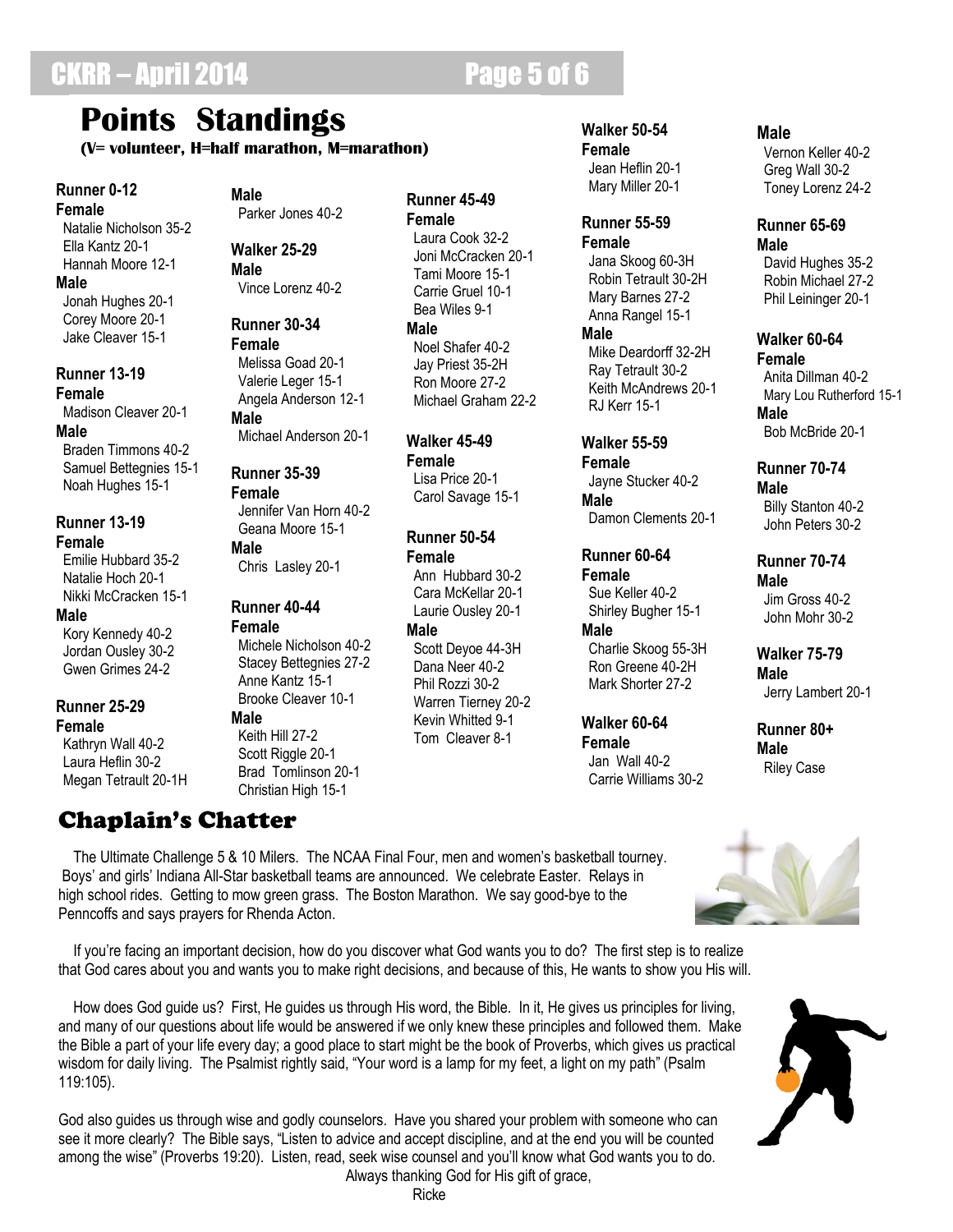# **Points Standings**

**(V= volunteer, H=half marathon, M=marathon)**

### **Runner 0-12**

**Female** Natalie Nicholson 35-2 Ella Kantz 20-1 Hannah Moore 12-1 **Male** Jonah Hughes 20-1 Corey Moore 20-1 Jake Cleaver 15-1

### **Runner 13-19**

**Female** Madison Cleaver 20-1 **Male**

 Braden Timmons 40-2 Samuel Bettegnies 15-1 Noah Hughes 15-1

#### **Runner 13-19 Female**

 Emilie Hubbard 35-2 Natalie Hoch 20-1 Nikki McCracken 15-1

#### **Male**

 Kory Kennedy 40-2 Jordan Ousley 30-2 Gwen Grimes 24-2

#### **Runner 25-29 Female**

 Kathryn Wall 40-2 Laura Heflin 30-2 Megan Tetrault 20-1H

## Chaplain's Chatter

Penncoffs and says prayers for Rhenda Acton.

**Male** Parker Jones 40-2

**Walker 25-29 Male** Vince Lorenz 40-2

**Runner 30-34 Female** Melissa Goad 20-1 Valerie Leger 15-1 Angela Anderson 12-1 **Male**

Michael Anderson 20-1

#### **Runner 35-39 Female** Jennifer Van Horn 40-2 Geana Moore 15-1 **Male**

Chris Lasley 20-1

#### **Runner 40-44 Female**

 Michele Nicholson 40-2 Stacey Bettegnies 27-2 Anne Kantz 15-1 Brooke Cleaver 10-1

**Male** Keith Hill 27-2

 Scott Riggle 20-1 Brad Tomlinson 20-1 Christian High 15-1

#### **Runner 45-49 Female**

 Laura Cook 32-2 Joni McCracken 20-1 Tami Moore 15-1 Carrie Gruel 10-1 Bea Wiles 9-1 **Male** Noel Shafer 40-2 Jay Priest 35-2H Ron Moore 27-2 Michael Graham 22-2

**Walker 45-49 Female** Lisa Price 20-1 Carol Savage 15-1

#### **Runner 50-54 Female** Ann Hubbard 30-2

 Cara McKellar 20-1 Laurie Ousley 20-1 **Male** Scott Deyoe 44-3H Dana Neer 40-2

 Phil Rozzi 30-2 Warren Tierney 20-2 Kevin Whitted 9-1 Tom Cleaver 8-1

#### **Walker 50-54 Female**

 Jean Heflin 20-1 Mary Miller 20-1

#### **Runner 55-59 Female**

 Jana Skoog 60-3H Robin Tetrault 30-2H Mary Barnes 27-2 Anna Rangel 15-1 **Male**

 Mike Deardorff 32-2H Ray Tetrault 30-2 Keith McAndrews 20-1 RJ Kerr 15-1

### **Walker 55-59**

**Female** Jayne Stucker 40-2 **Male** Damon Clements 20-1

**Runner 60-64 Female**

 Sue Keller 40-2 Shirley Bugher 15-1 **Male**

 Charlie Skoog 55-3H Ron Greene 40-2H Mark Shorter 27-2

### **Walker 60-64 Female** Jan Wall 40-2

Carrie Williams 30-2

#### **Male**

 Vernon Keller 40-2 Greg Wall 30-2 Toney Lorenz 24-2

#### **Runner 65-69 Male**

 David Hughes 35-2 Robin Michael 27-2 Phil Leininger 20-1

#### **Walker 60-64 Female** Anita Dillman 40-2 Mary Lou Rutherford 15-1 **Male** Bob McBride 20-1

#### **Runner 70-74 Male** Billy Stanton 40-2

John Peters 30-2

#### **Runner 70-74 Male**

 Jim Gross 40-2 John Mohr 30-2

#### **Walker 75-79 Male** Jerry Lambert 20-1

**Runner 80+ Male** Riley Case



 If you're facing an important decision, how do you discover what God wants you to do? The first step is to realize that God cares about you and wants you to make right decisions, and because of this, He wants to show you His will.

 The Ultimate Challenge 5 & 10 Milers. The NCAA Final Four, men and women's basketball tourney. Boys' and girls' Indiana All-Star basketball teams are announced. We celebrate Easter. Relays in high school rides. Getting to mow green grass. The Boston Marathon. We say good-bye to the

 How does God guide us? First, He guides us through His word, the Bible. In it, He gives us principles for living, and many of our questions about life would be answered if we only knew these principles and followed them. Make the Bible a part of your life every day; a good place to start might be the book of Proverbs, which gives us practical wisdom for daily living. The Psalmist rightly said, "Your word is a lamp for my feet, a light on my path" (Psalm 119:105).

God also guides us through wise and godly counselors. Have you shared your problem with someone who can see it more clearly? The Bible says, "Listen to advice and accept discipline, and at the end you will be counted among the wise" (Proverbs 19:20). Listen, read, seek wise counsel and you'll know what God wants you to do. Always thanking God for His gift of grace,